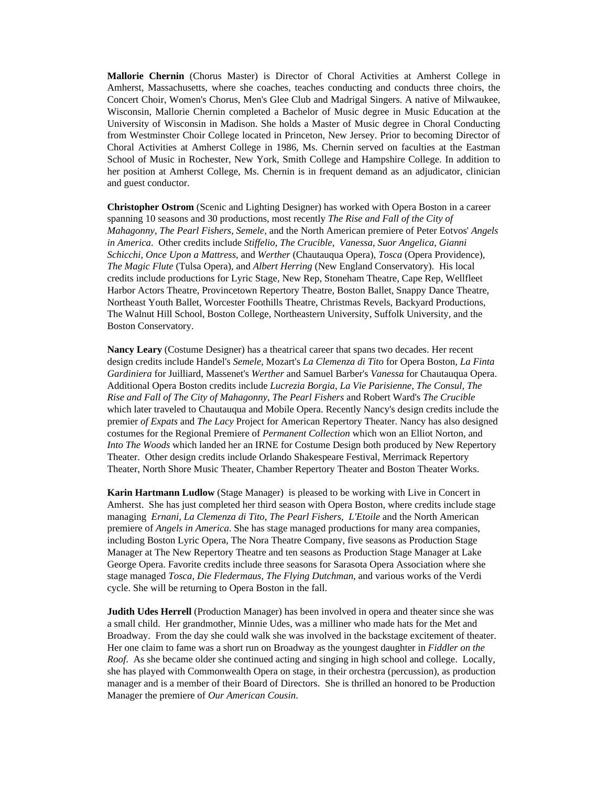**Mallorie Chernin** (Chorus Master) is Director of Choral Activities at Amherst College in Amherst, Massachusetts, where she coaches, teaches conducting and conducts three choirs, the Concert Choir, Women's Chorus, Men's Glee Club and Madrigal Singers. A native of Milwaukee, Wisconsin, Mallorie Chernin completed a Bachelor of Music degree in Music Education at the University of Wisconsin in Madison. She holds a Master of Music degree in Choral Conducting from Westminster Choir College located in Princeton, New Jersey. Prior to becoming Director of Choral Activities at Amherst College in 1986, Ms. Chernin served on faculties at the Eastman School of Music in Rochester, New York, Smith College and Hampshire College. In addition to her position at Amherst College, Ms. Chernin is in frequent demand as an adjudicator, clinician and guest conductor.

**Christopher Ostrom** (Scenic and Lighting Designer) has worked with Opera Boston in a career spanning 10 seasons and 30 productions, most recently *The Rise and Fall of the City of Mahagonny*, *The Pearl Fishers*, *Semele*, and the North American premiere of Peter Eotvos' *Angels in America*. Other credits include *Stiffelio*, *The Crucible*, *Vanessa*, *Suor Angelica*, *Gianni Schicchi*, *Once Upon a Mattress*, and *Werther* (Chautauqua Opera), *Tosca* (Opera Providence), *The Magic Flute* (Tulsa Opera), and *Albert Herring* (New England Conservatory). His local credits include productions for Lyric Stage, New Rep, Stoneham Theatre, Cape Rep, Wellfleet Harbor Actors Theatre, Provincetown Repertory Theatre, Boston Ballet, Snappy Dance Theatre, Northeast Youth Ballet, Worcester Foothills Theatre, Christmas Revels, Backyard Productions, The Walnut Hill School, Boston College, Northeastern University, Suffolk University, and the Boston Conservatory.

**Nancy Leary** (Costume Designer) has a theatrical career that spans two decades. Her recent design credits include Handel's *Semele*, Mozart's *La Clemenza di Tito* for Opera Boston, *La Finta Gardiniera* for Juilliard, Massenet's *Werther* and Samuel Barber's *Vanessa* for Chautauqua Opera. Additional Opera Boston credits include *Lucrezia Borgia*, *La Vie Parisienne*, *The Consul*, *The Rise and Fall of The City of Mahagonny*, *The Pearl Fishers* and Robert Ward's *The Crucible* which later traveled to Chautauqua and Mobile Opera. Recently Nancy's design credits include the premier *of Expats* and *The Lacy* Project for American Repertory Theater. Nancy has also designed costumes for the Regional Premiere of *Permanent Collection* which won an Elliot Norton, and *Into The Woods* which landed her an IRNE for Costume Design both produced by New Repertory Theater. Other design credits include Orlando Shakespeare Festival, Merrimack Repertory Theater, North Shore Music Theater, Chamber Repertory Theater and Boston Theater Works.

**Karin Hartmann Ludlow** (Stage Manager) is pleased to be working with Live in Concert in Amherst. She has just completed her third season with Opera Boston, where credits include stage managing *Ernani*, *La Clemenza di Tito, The Pearl Fishers*, *L'Etoile* and the North American premiere of *Angels in America*. She has stage managed productions for many area companies, including Boston Lyric Opera, The Nora Theatre Company, five seasons as Production Stage Manager at The New Repertory Theatre and ten seasons as Production Stage Manager at Lake George Opera. Favorite credits include three seasons for Sarasota Opera Association where she stage managed *Tosca, Die Fledermaus*, *The Flying Dutchman*, and various works of the Verdi cycle. She will be returning to Opera Boston in the fall.

**Judith Udes Herrell** (Production Manager) has been involved in opera and theater since she was a small child. Her grandmother, Minnie Udes, was a milliner who made hats for the Met and Broadway. From the day she could walk she was involved in the backstage excitement of theater. Her one claim to fame was a short run on Broadway as the youngest daughter in *Fiddler on the Roof*. As she became older she continued acting and singing in high school and college. Locally, she has played with Commonwealth Opera on stage, in their orchestra (percussion), as production manager and is a member of their Board of Directors. She is thrilled an honored to be Production Manager the premiere of *Our American Cousin*.